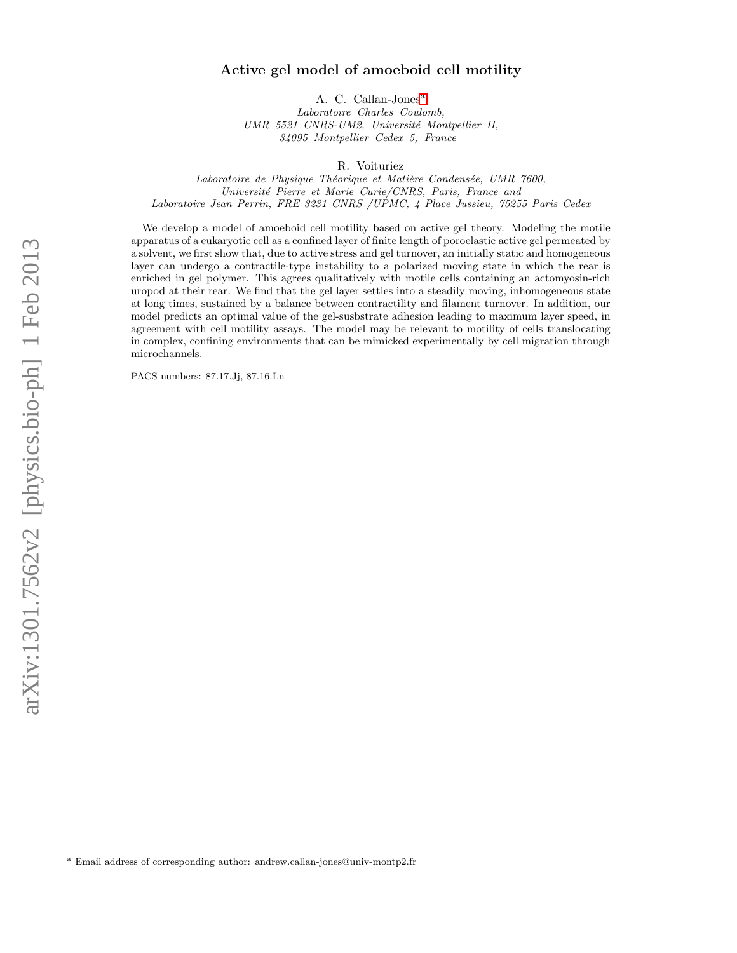# arXiv:1301.7562v2 [physics.bio-ph] 1 Feb 2013 arXiv:1301.7562v2 [physics.bio-ph] 1 Feb 2013

# Active gel model of amoeboid cell motility

A. C. C[a](#page-0-0)llan-Jones<sup>a</sup>

Laboratoire Charles Coulomb, UMR 5521 CNRS-UM2, Université Montpellier II, 34095 Montpellier Cedex 5, France

R. Voituriez

Laboratoire de Physique Théorique et Matière Condensée, UMR 7600, Université Pierre et Marie Curie/CNRS, Paris, France and Laboratoire Jean Perrin, FRE 3231 CNRS /UPMC, 4 Place Jussieu, 75255 Paris Cedex

We develop a model of amoeboid cell motility based on active gel theory. Modeling the motile apparatus of a eukaryotic cell as a confined layer of finite length of poroelastic active gel permeated by a solvent, we first show that, due to active stress and gel turnover, an initially static and homogeneous layer can undergo a contractile-type instability to a polarized moving state in which the rear is enriched in gel polymer. This agrees qualitatively with motile cells containing an actomyosin-rich uropod at their rear. We find that the gel layer settles into a steadily moving, inhomogeneous state at long times, sustained by a balance between contractility and filament turnover. In addition, our model predicts an optimal value of the gel-susbstrate adhesion leading to maximum layer speed, in agreement with cell motility assays. The model may be relevant to motility of cells translocating in complex, confining environments that can be mimicked experimentally by cell migration through microchannels.

PACS numbers: 87.17.Jj, 87.16.Ln

<span id="page-0-0"></span><sup>a</sup> Email address of corresponding author: andrew.callan-jones@univ-montp2.fr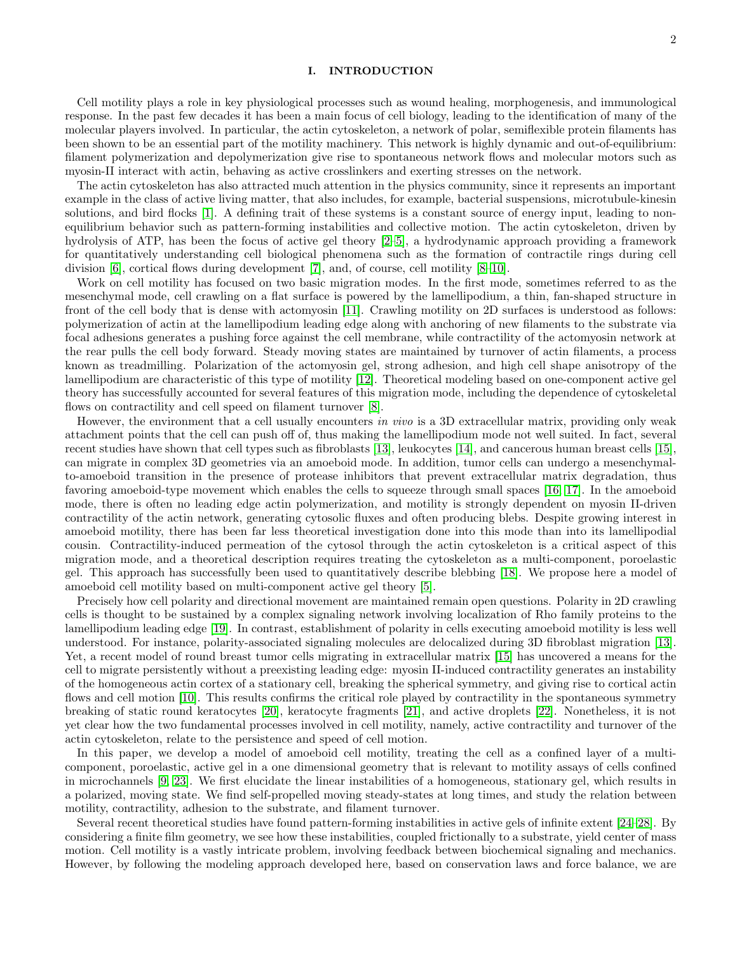# I. INTRODUCTION

Cell motility plays a role in key physiological processes such as wound healing, morphogenesis, and immunological response. In the past few decades it has been a main focus of cell biology, leading to the identification of many of the molecular players involved. In particular, the actin cytoskeleton, a network of polar, semiflexible protein filaments has been shown to be an essential part of the motility machinery. This network is highly dynamic and out-of-equilibrium: filament polymerization and depolymerization give rise to spontaneous network flows and molecular motors such as myosin-II interact with actin, behaving as active crosslinkers and exerting stresses on the network.

The actin cytoskeleton has also attracted much attention in the physics community, since it represents an important example in the class of active living matter, that also includes, for example, bacterial suspensions, microtubule-kinesin solutions, and bird flocks [\[1\]](#page-7-0). A defining trait of these systems is a constant source of energy input, leading to nonequilibrium behavior such as pattern-forming instabilities and collective motion. The actin cytoskeleton, driven by hydrolysis of ATP, has been the focus of active gel theory [\[2–](#page-8-0)[5\]](#page-8-1), a hydrodynamic approach providing a framework for quantitatively understanding cell biological phenomena such as the formation of contractile rings during cell division [\[6\]](#page-8-2), cortical flows during development [\[7\]](#page-8-3), and, of course, cell motility [\[8](#page-8-4)[–10\]](#page-8-5).

Work on cell motility has focused on two basic migration modes. In the first mode, sometimes referred to as the mesenchymal mode, cell crawling on a flat surface is powered by the lamellipodium, a thin, fan-shaped structure in front of the cell body that is dense with actomyosin [\[11\]](#page-8-6). Crawling motility on 2D surfaces is understood as follows: polymerization of actin at the lamellipodium leading edge along with anchoring of new filaments to the substrate via focal adhesions generates a pushing force against the cell membrane, while contractility of the actomyosin network at the rear pulls the cell body forward. Steady moving states are maintained by turnover of actin filaments, a process known as treadmilling. Polarization of the actomyosin gel, strong adhesion, and high cell shape anisotropy of the lamellipodium are characteristic of this type of motility [\[12\]](#page-8-7). Theoretical modeling based on one-component active gel theory has successfully accounted for several features of this migration mode, including the dependence of cytoskeletal flows on contractility and cell speed on filament turnover [\[8\]](#page-8-4).

However, the environment that a cell usually encounters in vivo is a 3D extracellular matrix, providing only weak attachment points that the cell can push off of, thus making the lamellipodium mode not well suited. In fact, several recent studies have shown that cell types such as fibroblasts [\[13\]](#page-8-8), leukocytes [\[14\]](#page-8-9), and cancerous human breast cells [\[15\]](#page-8-10), can migrate in complex 3D geometries via an amoeboid mode. In addition, tumor cells can undergo a mesenchymalto-amoeboid transition in the presence of protease inhibitors that prevent extracellular matrix degradation, thus favoring amoeboid-type movement which enables the cells to squeeze through small spaces [\[16,](#page-8-11) [17\]](#page-8-12). In the amoeboid mode, there is often no leading edge actin polymerization, and motility is strongly dependent on myosin II-driven contractility of the actin network, generating cytosolic fluxes and often producing blebs. Despite growing interest in amoeboid motility, there has been far less theoretical investigation done into this mode than into its lamellipodial cousin. Contractility-induced permeation of the cytosol through the actin cytoskeleton is a critical aspect of this migration mode, and a theoretical description requires treating the cytoskeleton as a multi-component, poroelastic gel. This approach has successfully been used to quantitatively describe blebbing [\[18\]](#page-8-13). We propose here a model of amoeboid cell motility based on multi-component active gel theory [\[5\]](#page-8-1).

Precisely how cell polarity and directional movement are maintained remain open questions. Polarity in 2D crawling cells is thought to be sustained by a complex signaling network involving localization of Rho family proteins to the lamellipodium leading edge [\[19\]](#page-8-14). In contrast, establishment of polarity in cells executing amoeboid motility is less well understood. For instance, polarity-associated signaling molecules are delocalized during 3D fibroblast migration [\[13\]](#page-8-8). Yet, a recent model of round breast tumor cells migrating in extracellular matrix [\[15\]](#page-8-10) has uncovered a means for the cell to migrate persistently without a preexisting leading edge: myosin II-induced contractility generates an instability of the homogeneous actin cortex of a stationary cell, breaking the spherical symmetry, and giving rise to cortical actin flows and cell motion [\[10\]](#page-8-5). This results confirms the critical role played by contractility in the spontaneous symmetry breaking of static round keratocytes [\[20\]](#page-8-15), keratocyte fragments [\[21\]](#page-8-16), and active droplets [\[22\]](#page-8-17). Nonetheless, it is not yet clear how the two fundamental processes involved in cell motility, namely, active contractility and turnover of the actin cytoskeleton, relate to the persistence and speed of cell motion.

In this paper, we develop a model of amoeboid cell motility, treating the cell as a confined layer of a multicomponent, poroelastic, active gel in a one dimensional geometry that is relevant to motility assays of cells confined in microchannels [\[9,](#page-8-18) [23\]](#page-8-19). We first elucidate the linear instabilities of a homogeneous, stationary gel, which results in a polarized, moving state. We find self-propelled moving steady-states at long times, and study the relation between motility, contractility, adhesion to the substrate, and filament turnover.

Several recent theoretical studies have found pattern-forming instabilities in active gels of infinite extent [\[24–](#page-8-20)[28\]](#page-8-21). By considering a finite film geometry, we see how these instabilities, coupled frictionally to a substrate, yield center of mass motion. Cell motility is a vastly intricate problem, involving feedback between biochemical signaling and mechanics. However, by following the modeling approach developed here, based on conservation laws and force balance, we are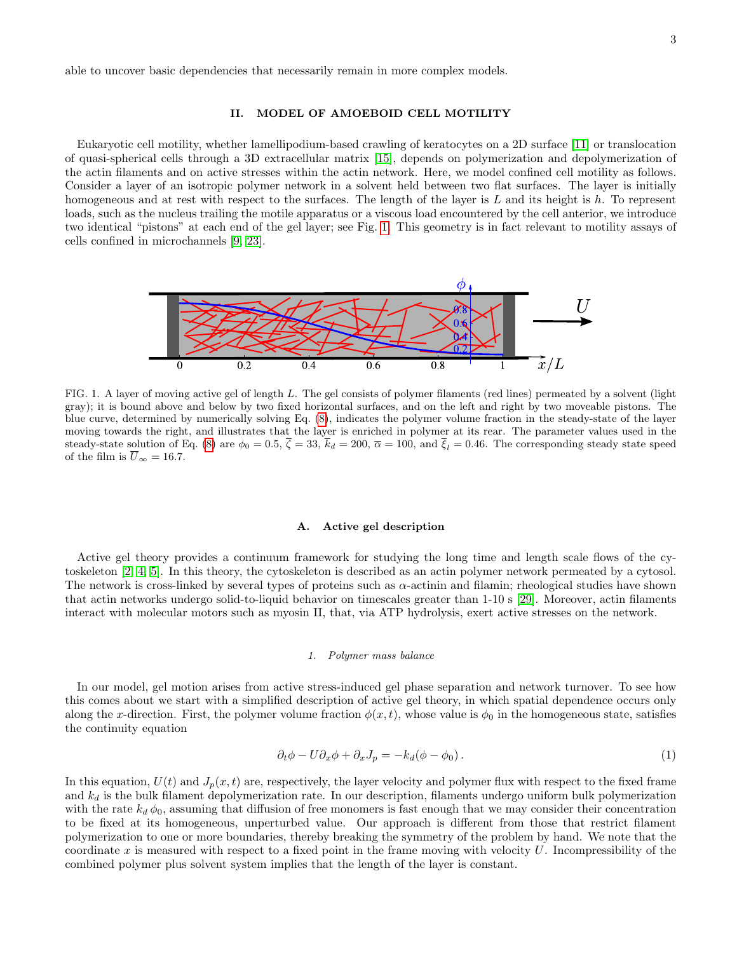able to uncover basic dependencies that necessarily remain in more complex models.

### II. MODEL OF AMOEBOID CELL MOTILITY

Eukaryotic cell motility, whether lamellipodium-based crawling of keratocytes on a 2D surface [\[11\]](#page-8-6) or translocation of quasi-spherical cells through a 3D extracellular matrix [\[15\]](#page-8-10), depends on polymerization and depolymerization of the actin filaments and on active stresses within the actin network. Here, we model confined cell motility as follows. Consider a layer of an isotropic polymer network in a solvent held between two flat surfaces. The layer is initially homogeneous and at rest with respect to the surfaces. The length of the layer is  $L$  and its height is  $h$ . To represent loads, such as the nucleus trailing the motile apparatus or a viscous load encountered by the cell anterior, we introduce two identical "pistons" at each end of the gel layer; see Fig. [1.](#page-2-0) This geometry is in fact relevant to motility assays of cells confined in microchannels [\[9,](#page-8-18) [23\]](#page-8-19).



<span id="page-2-0"></span>FIG. 1. A layer of moving active gel of length L. The gel consists of polymer filaments (red lines) permeated by a solvent (light gray); it is bound above and below by two fixed horizontal surfaces, and on the left and right by two moveable pistons. The blue curve, determined by numerically solving Eq. [\(8\)](#page-4-0), indicates the polymer volume fraction in the steady-state of the layer moving towards the right, and illustrates that the layer is enriched in polymer at its rear. The parameter values used in the steady-state solution of Eq. [\(8\)](#page-4-0) are  $\phi_0 = 0.5$ ,  $\zeta = 33$ ,  $k_d = 200$ ,  $\overline{\alpha} = 100$ , and  $\xi_l = 0.46$ . The corresponding steady state speed of the film is  $\overline{U}_{\infty} = 16.7$ .

### A. Active gel description

Active gel theory provides a continuum framework for studying the long time and length scale flows of the cytoskeleton [\[2,](#page-8-0) [4,](#page-8-22) [5\]](#page-8-1). In this theory, the cytoskeleton is described as an actin polymer network permeated by a cytosol. The network is cross-linked by several types of proteins such as  $\alpha$ -actinin and filamin; rheological studies have shown that actin networks undergo solid-to-liquid behavior on timescales greater than 1-10 s [\[29\]](#page-8-23). Moreover, actin filaments interact with molecular motors such as myosin II, that, via ATP hydrolysis, exert active stresses on the network.

### <span id="page-2-1"></span>1. Polymer mass balance

In our model, gel motion arises from active stress-induced gel phase separation and network turnover. To see how this comes about we start with a simplified description of active gel theory, in which spatial dependence occurs only along the x-direction. First, the polymer volume fraction  $\phi(x, t)$ , whose value is  $\phi_0$  in the homogeneous state, satisfies the continuity equation

$$
\partial_t \phi - U \partial_x \phi + \partial_x J_p = -k_d (\phi - \phi_0). \tag{1}
$$

In this equation,  $U(t)$  and  $J_p(x, t)$  are, respectively, the layer velocity and polymer flux with respect to the fixed frame and  $k_d$  is the bulk filament depolymerization rate. In our description, filaments undergo uniform bulk polymerization with the rate  $k_d \phi_0$ , assuming that diffusion of free monomers is fast enough that we may consider their concentration to be fixed at its homogeneous, unperturbed value. Our approach is different from those that restrict filament polymerization to one or more boundaries, thereby breaking the symmetry of the problem by hand. We note that the coordinate x is measured with respect to a fixed point in the frame moving with velocity  $U$ . Incompressibility of the combined polymer plus solvent system implies that the length of the layer is constant.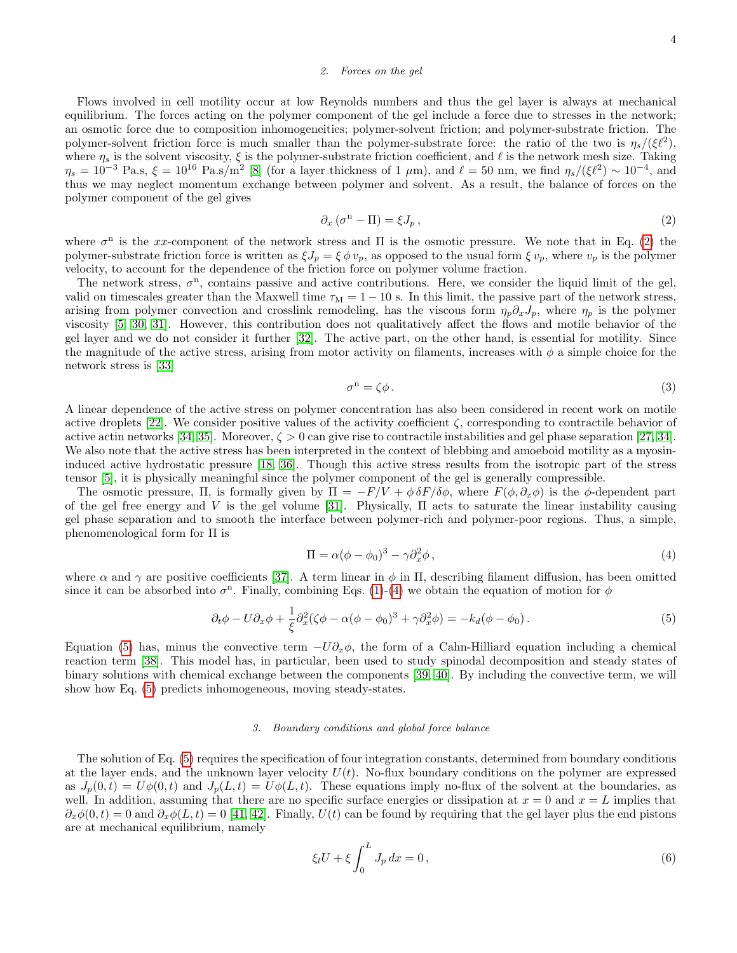### 2. Forces on the gel

Flows involved in cell motility occur at low Reynolds numbers and thus the gel layer is always at mechanical equilibrium. The forces acting on the polymer component of the gel include a force due to stresses in the network; an osmotic force due to composition inhomogeneities; polymer-solvent friction; and polymer-substrate friction. The polymer-solvent friction force is much smaller than the polymer-substrate force: the ratio of the two is  $\eta_s/(\xi \ell^2)$ , where  $\eta_s$  is the solvent viscosity,  $\xi$  is the polymer-substrate friction coefficient, and  $\ell$  is the network mesh size. Taking  $\eta_s = 10^{-3}$  Pa.s,  $\xi = 10^{16}$  Pa.s/m<sup>2</sup> [\[8\]](#page-8-4) (for a layer thickness of 1  $\mu$ m), and  $\ell = 50$  nm, we find  $\eta_s/(\xi \ell^2) \sim 10^{-4}$ , and thus we may neglect momentum exchange between polymer and solvent. As a result, the balance of forces on the polymer component of the gel gives

<span id="page-3-0"></span>
$$
\partial_x \left( \sigma^n - \Pi \right) = \xi J_p \,, \tag{2}
$$

where  $\sigma^{n}$  is the xx-component of the network stress and  $\Pi$  is the osmotic pressure. We note that in Eq. [\(2\)](#page-3-0) the polymer-substrate friction force is written as  $\xi J_p = \xi \phi v_p$ , as opposed to the usual form  $\xi v_p$ , where  $v_p$  is the polymer velocity, to account for the dependence of the friction force on polymer volume fraction.

The network stress,  $\sigma^n$ , contains passive and active contributions. Here, we consider the liquid limit of the gel, valid on timescales greater than the Maxwell time  $\tau_M = 1 - 10$  s. In this limit, the passive part of the network stress, arising from polymer convection and crosslink remodeling, has the viscous form  $\eta_p \partial_x J_p$ , where  $\eta_p$  is the polymer viscosity [\[5,](#page-8-1) [30,](#page-8-24) [31\]](#page-8-25). However, this contribution does not qualitatively affect the flows and motile behavior of the gel layer and we do not consider it further [\[32\]](#page-8-26). The active part, on the other hand, is essential for motility. Since the magnitude of the active stress, arising from motor activity on filaments, increases with  $\phi$  a simple choice for the network stress is [\[33\]](#page-8-27)

$$
\sigma^n = \zeta \phi. \tag{3}
$$

A linear dependence of the active stress on polymer concentration has also been considered in recent work on motile active droplets [\[22\]](#page-8-17). We consider positive values of the activity coefficient  $\zeta$ , corresponding to contractile behavior of active actin networks [\[34,](#page-8-28) [35\]](#page-8-29). Moreover,  $\zeta > 0$  can give rise to contractile instabilities and gel phase separation [\[27,](#page-8-30) [34\]](#page-8-28). We also note that the active stress has been interpreted in the context of blebbing and amoeboid motility as a myosininduced active hydrostatic pressure [\[18,](#page-8-13) [36\]](#page-8-31). Though this active stress results from the isotropic part of the stress tensor [\[5\]](#page-8-1), it is physically meaningful since the polymer component of the gel is generally compressible.

The osmotic pressure,  $\Pi$ , is formally given by  $\Pi = -F/V + \phi \delta F/\delta \phi$ , where  $F(\phi, \partial_x \phi)$  is the  $\phi$ -dependent part of the gel free energy and V is the gel volume [\[31\]](#page-8-25). Physically,  $\Pi$  acts to saturate the linear instability causing gel phase separation and to smooth the interface between polymer-rich and polymer-poor regions. Thus, a simple, phenomenological form for Π is

<span id="page-3-2"></span><span id="page-3-1"></span>
$$
\Pi = \alpha(\phi - \phi_0)^3 - \gamma \partial_x^2 \phi, \qquad (4)
$$

where  $\alpha$  and  $\gamma$  are positive coefficients [\[37\]](#page-8-32). A term linear in  $\phi$  in  $\Pi$ , describing filament diffusion, has been omitted since it can be absorbed into  $\sigma^n$ . Finally, combining Eqs. [\(1\)](#page-2-1)-[\(4\)](#page-3-1) we obtain the equation of motion for  $\phi$ 

$$
\partial_t \phi - U \partial_x \phi + \frac{1}{\xi} \partial_x^2 (\zeta \phi - \alpha (\phi - \phi_0)^3 + \gamma \partial_x^2 \phi) = -k_d (\phi - \phi_0).
$$
 (5)

Equation [\(5\)](#page-3-2) has, minus the convective term  $-U\partial_x\phi$ , the form of a Cahn-Hilliard equation including a chemical reaction term [\[38\]](#page-9-0). This model has, in particular, been used to study spinodal decomposition and steady states of binary solutions with chemical exchange between the components [\[39,](#page-9-1) [40\]](#page-9-2). By including the convective term, we will show how Eq. [\(5\)](#page-3-2) predicts inhomogeneous, moving steady-states.

# 3. Boundary conditions and global force balance

The solution of Eq. [\(5\)](#page-3-2) requires the specification of four integration constants, determined from boundary conditions at the layer ends, and the unknown layer velocity  $U(t)$ . No-flux boundary conditions on the polymer are expressed as  $J_p(0,t) = U\phi(0,t)$  and  $J_p(L,t) = U\phi(L,t)$ . These equations imply no-flux of the solvent at the boundaries, as well. In addition, assuming that there are no specific surface energies or dissipation at  $x = 0$  and  $x = L$  implies that  $\partial_x \phi(0, t) = 0$  and  $\partial_x \phi(L, t) = 0$  [\[41,](#page-9-3) [42\]](#page-9-4). Finally,  $U(t)$  can be found by requiring that the gel layer plus the end pistons are at mechanical equilibrium, namely

<span id="page-3-3"></span>
$$
\xi_l U + \xi \int_0^L J_p dx = 0, \qquad (6)
$$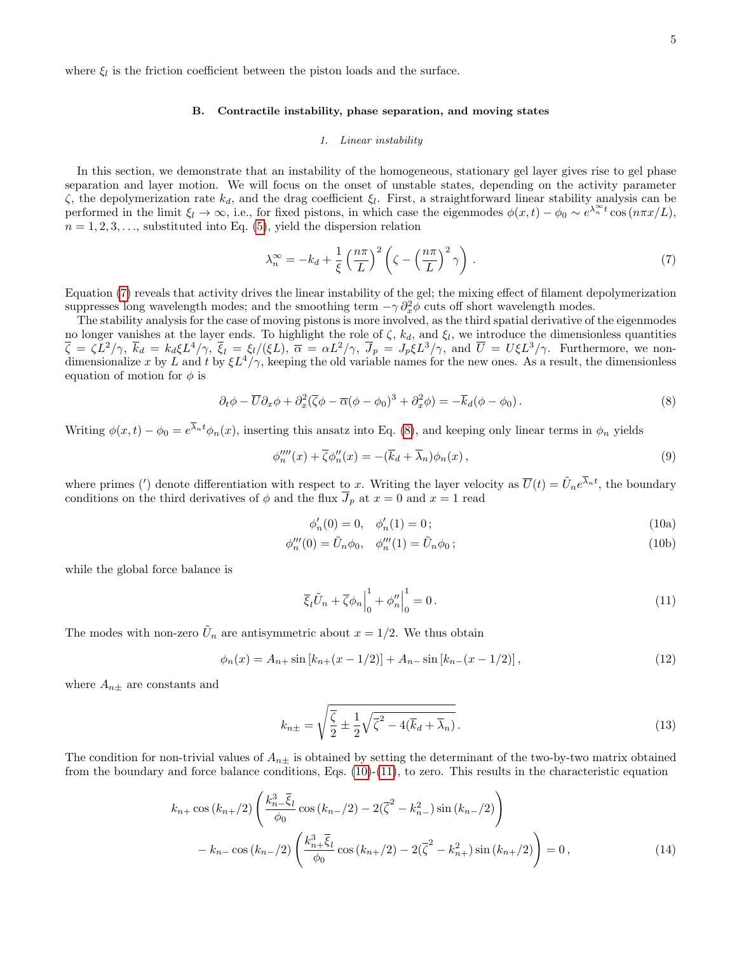where  $\xi_l$  is the friction coefficient between the piston loads and the surface.

# B. Contractile instability, phase separation, and moving states

### 1. Linear instability

In this section, we demonstrate that an instability of the homogeneous, stationary gel layer gives rise to gel phase separation and layer motion. We will focus on the onset of unstable states, depending on the activity parameter  $ζ$ , the depolymerization rate  $k_d$ , and the drag coefficient  $ξ_l$ . First, a straightforward linear stability analysis can be performed in the limit  $\xi_l \to \infty$ , i.e., for fixed pistons, in which case the eigenmodes  $\phi(x,t) - \phi_0 \sim e^{\lambda_n^{\infty} t} \cos(n\pi x/L)$ ,  $n = 1, 2, 3, \ldots$ , substituted into Eq. [\(5\)](#page-3-2), yield the dispersion relation

<span id="page-4-1"></span>
$$
\lambda_n^{\infty} = -k_d + \frac{1}{\xi} \left(\frac{n\pi}{L}\right)^2 \left(\zeta - \left(\frac{n\pi}{L}\right)^2 \gamma\right). \tag{7}
$$

Equation [\(7\)](#page-4-1) reveals that activity drives the linear instability of the gel; the mixing effect of filament depolymerization suppresses long wavelength modes; and the smoothing term  $-\gamma \partial_x^2 \phi$  cuts off short wavelength modes.

The stability analysis for the case of moving pistons is more involved, as the third spatial derivative of the eigenmodes no longer vanishes at the layer ends. To highlight the role of  $\zeta$ ,  $k_d$ , and  $\xi_l$ , we introduce the dimensionless quantities  $\overline{\zeta} = \zeta L^2/\gamma$ ,  $\overline{k}_d = k_d \xi L^4/\gamma$ ,  $\overline{\zeta}_l = \xi_l/(\xi L)$ ,  $\overline{\alpha} = \alpha L^2/\gamma$ ,  $\overline{J}_p = J_p \xi L^3/\gamma$ , and  $\overline{U} = U \xi L^3/\gamma$ . Furthermore, we nondimensionalize x by L and t by  $\xi L^4/\gamma$ , keeping the old variable names for the new ones. As a result, the dimensionless equation of motion for  $\phi$  is

$$
\partial_t \phi - \overline{U} \partial_x \phi + \partial_x^2 (\overline{\zeta} \phi - \overline{\alpha} (\phi - \phi_0)^3 + \partial_x^2 \phi) = -\overline{k}_d (\phi - \phi_0).
$$
 (8)

Writing  $\phi(x,t) - \phi_0 = e^{\lambda_n t} \phi_n(x)$ , inserting this ansatz into Eq. [\(8\)](#page-4-0), and keeping only linear terms in  $\phi_n$  yields

$$
\phi_n'''(x) + \overline{\zeta}\phi_n''(x) = -(\overline{k}_d + \overline{\lambda}_n)\phi_n(x),\tag{9}
$$

where primes (') denote differentiation with respect to x. Writing the layer velocity as  $\overline{U}(t) = \tilde{U}_n e^{\overline{\lambda}_n t}$ , the boundary conditions on the third derivatives of  $\phi$  and the flux  $\overline{J}_p$  at  $x = 0$  and  $x = 1$  read

<span id="page-4-2"></span><span id="page-4-0"></span>
$$
\phi'_n(0) = 0, \quad \phi'_n(1) = 0 \tag{10a}
$$

$$
\phi_n'''(0) = \tilde{U}_n \phi_0, \quad \phi_n'''(1) = \tilde{U}_n \phi_0; \tag{10b}
$$

while the global force balance is

<span id="page-4-3"></span>
$$
\overline{\xi}_l \tilde{U}_n + \overline{\zeta} \phi_n \Big|_0^1 + \phi_n'' \Big|_0^1 = 0. \tag{11}
$$

The modes with non-zero  $\tilde{U}_n$  are antisymmetric about  $x = 1/2$ . We thus obtain

$$
\phi_n(x) = A_{n+} \sin \left[ k_{n+}(x - 1/2) \right] + A_{n-} \sin \left[ k_{n-}(x - 1/2) \right],\tag{12}
$$

where  $A_{n\pm}$  are constants and

<span id="page-4-4"></span>
$$
k_{n\pm} = \sqrt{\frac{\overline{\zeta}}{2} \pm \frac{1}{2} \sqrt{\overline{\zeta}^2 - 4(\overline{k}_d + \overline{\lambda}_n)}}.
$$
\n(13)

The condition for non-trivial values of  $A_{n\pm}$  is obtained by setting the determinant of the two-by-two matrix obtained from the boundary and force balance conditions, Eqs.  $(10)-(11)$  $(10)-(11)$  $(10)-(11)$ , to zero. This results in the characteristic equation

$$
k_{n+} \cos(k_{n+}/2) \left( \frac{k_{n-}^{3} \bar{\xi}_{l}}{\phi_{0}} \cos(k_{n-}/2) - 2(\bar{\zeta}^{2} - k_{n-}^{2}) \sin(k_{n-}/2) \right) - k_{n-} \cos(k_{n-}/2) \left( \frac{k_{n+}^{3} \bar{\xi}_{l}}{\phi_{0}} \cos(k_{n+}/2) - 2(\bar{\zeta}^{2} - k_{n+}^{2}) \sin(k_{n+}/2) \right) = 0,
$$
\n(14)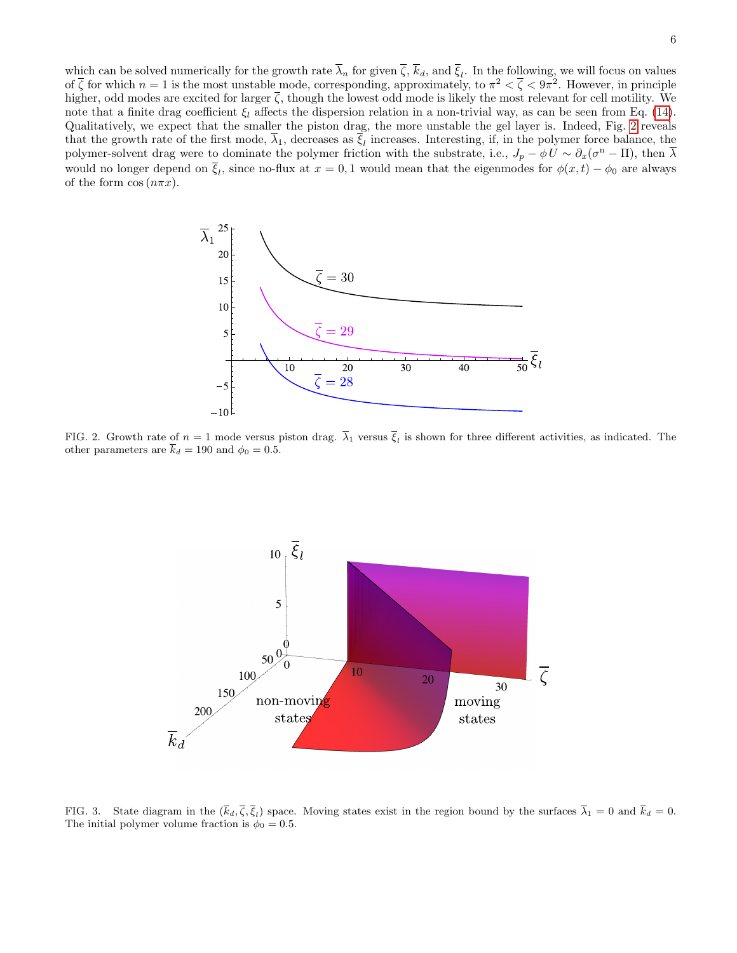which can be solved numerically for the growth rate  $\lambda_n$  for given  $\zeta$ ,  $k_d$ , and  $\xi_l$ . In the following, we will focus on values of  $\bar{\zeta}$  for which  $n=1$  is the most unstable mode, corresponding, approximately, to  $\pi^2 < \bar{\zeta} < 9\pi^2$ . However, in principle higher, odd modes are excited for larger  $\overline{\zeta}$ , though the lowest odd mode is likely the most relevant for cell motility. We note that a finite drag coefficient  $\xi_l$  affects the dispersion relation in a non-trivial way, as can be seen from Eq. [\(14\)](#page-4-4). Qualitatively, we expect that the smaller the piston drag, the more unstable the gel layer is. Indeed, Fig. [2](#page-5-0) reveals that the growth rate of the first mode,  $\lambda_1$ , decreases as  $\xi_l$  increases. Interesting, if, in the polymer force balance, the polymer-solvent drag were to dominate the polymer friction with the substrate, i.e.,  $J_p - \phi U \sim \partial_x(\sigma^{\rm n} - \Pi)$ , then  $\overline{\lambda}$ would no longer depend on  $\overline{\xi}_l$ , since no-flux at  $x = 0, 1$  would mean that the eigenmodes for  $\phi(x, t) - \phi_0$  are always of the form  $\cos(n\pi x)$ .



<span id="page-5-0"></span>FIG. 2. Growth rate of  $n=1$  mode versus piston drag.  $\lambda_1$  versus  $\xi_l$  is shown for three different activities, as indicated. The other parameters are  $\bar{k}_d = 190$  and  $\phi_0 = 0.5$ .



<span id="page-5-1"></span>FIG. 3. State diagram in the  $(k_d, \zeta, \xi_l)$  space. Moving states exist in the region bound by the surfaces  $\lambda_1 = 0$  and  $k_d = 0$ . The initial polymer volume fraction is  $\phi_0 = 0.5$ .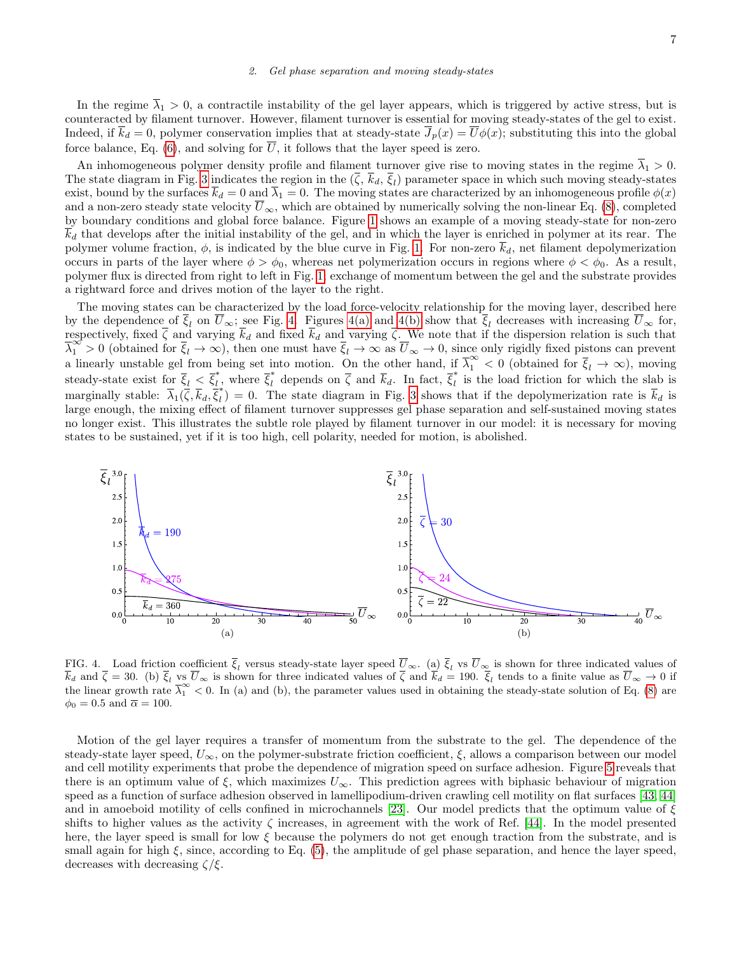### 2. Gel phase separation and moving steady-states

In the regime  $\overline{\lambda}_1 > 0$ , a contractile instability of the gel layer appears, which is triggered by active stress, but is counteracted by filament turnover. However, filament turnover is essential for moving steady-states of the gel to exist. Indeed, if  $\overline{k}_d = 0$ , polymer conservation implies that at steady-state  $\overline{J}_p(x) = \overline{U}\phi(x)$ ; substituting this into the global force balance, Eq. [\(6\)](#page-3-3), and solving for  $\overline{U}$ , it follows that the layer speed is zero.

An inhomogeneous polymer density profile and filament turnover give rise to moving states in the regime  $\overline{\lambda}_1 > 0$ . The state diagram in Fig. [3](#page-5-1) indicates the region in the  $(\zeta, k_d, \zeta_l)$  parameter space in which such moving steady-states exist, bound by the surfaces  $\bar{k}_d = 0$  and  $\bar{\lambda}_1 = 0$ . The moving states are characterized by an inhomogeneous profile  $\phi(x)$ and a non-zero steady state velocity  $\overline{U}_{\infty}$ , which are obtained by numerically solving the non-linear Eq. [\(8\)](#page-4-0), completed by boundary conditions and global force balance. Figure [1](#page-2-0) shows an example of a moving steady-state for non-zero  $\overline{k}_d$  that develops after the initial instability of the gel, and in which the layer is enriched in polymer at its rear. The polymer volume fraction,  $\phi$ , is indicated by the blue curve in Fig. [1.](#page-2-0) For non-zero  $\bar{k}_d$ , net filament depolymerization occurs in parts of the layer where  $\phi > \phi_0$ , whereas net polymerization occurs in regions where  $\phi < \phi_0$ . As a result, polymer flux is directed from right to left in Fig. [1;](#page-2-0) exchange of momentum between the gel and the substrate provides a rightward force and drives motion of the layer to the right.

The moving states can be characterized by the load force-velocity relationship for the moving layer, described here by the dependence of  $\xi_l$  on  $U_{\infty}$ ; see Fig. [4.](#page-6-0) Figures [4\(a\)](#page-6-1) and [4\(b\)](#page-6-2) show that  $\xi_l$  decreases with increasing  $U_{\infty}$  for, respectively, fixed  $\zeta$  and varying  $k_d$  and fixed  $k_d$  and varying  $\zeta$ . We note that if the dispersion relation is such that  $\overline{\lambda}_1^{\infty} > 0$  (obtained for  $\overline{\xi}_l \to \infty$ ), then one must have  $\overline{\xi}_l \to \infty$  as  $\overline{U}_{\infty} \to 0$ , since only rigidly fixed pistons can prevent a linearly unstable gel from being set into motion. On the other hand, if  $\overline{\lambda}_1^{\infty} < 0$  (obtained for  $\overline{\xi}_l \to \infty$ ), moving steady-state exist for  $\xi_l < \xi_l^*$ , where  $\xi_l^*$  depends on  $\zeta$  and  $k_d$ . In fact,  $\xi_l^*$  is the load friction for which the slab is marginally stable:  $\overline{\lambda}_1(\overline{\zeta}, \overline{k}_d, \overline{\overline{\xi}}_l^*)$  $\tilde{l}_l$ ) = 0. The state diagram in Fig. [3](#page-5-1) shows that if the depolymerization rate is  $k_d$  is large enough, the mixing effect of filament turnover suppresses gel phase separation and self-sustained moving states no longer exist. This illustrates the subtle role played by filament turnover in our model: it is necessary for moving states to be sustained, yet if it is too high, cell polarity, needed for motion, is abolished.

<span id="page-6-1"></span>

<span id="page-6-2"></span><span id="page-6-0"></span>FIG. 4. Load friction coefficient  $\xi_l$  versus steady-state layer speed  $\overline{U}_{\infty}$ . (a)  $\xi_l$  vs  $\overline{U}_{\infty}$  is shown for three indicated values of  $k_d$  and  $\zeta = 30$ . (b)  $\xi_l$  vs  $U_\infty$  is shown for three indicated values of  $\zeta$  and  $k_d = 190$ .  $\xi_l$  tends to a finite value as  $U_\infty \to 0$  if the linear growth rate  $\overline{\lambda}_1^{\infty}$  < 0. In (a) and (b), the parameter values used in obtaining the steady-state solution of Eq. [\(8\)](#page-4-0) are  $\phi_0 = 0.5$  and  $\overline{\alpha} = 100$ .

Motion of the gel layer requires a transfer of momentum from the substrate to the gel. The dependence of the steady-state layer speed,  $U_{\infty}$ , on the polymer-substrate friction coefficient,  $\xi$ , allows a comparison between our model and cell motility experiments that probe the dependence of migration speed on surface adhesion. Figure [5](#page-7-1) reveals that there is an optimum value of  $\xi$ , which maximizes  $U_{\infty}$ . This prediction agrees with biphasic behaviour of migration speed as a function of surface adhesion observed in lamellipodium-driven crawling cell motility on flat surfaces [\[43,](#page-9-5) [44\]](#page-9-6) and in amoeboid motility of cells confined in microchannels [\[23\]](#page-8-19). Our model predicts that the optimum value of  $\xi$ shifts to higher values as the activity  $\zeta$  increases, in agreement with the work of Ref. [\[44\]](#page-9-6). In the model presented here, the layer speed is small for low  $\xi$  because the polymers do not get enough traction from the substrate, and is small again for high  $\xi$ , since, according to Eq. [\(5\)](#page-3-2), the amplitude of gel phase separation, and hence the layer speed, decreases with decreasing  $\zeta/\xi$ .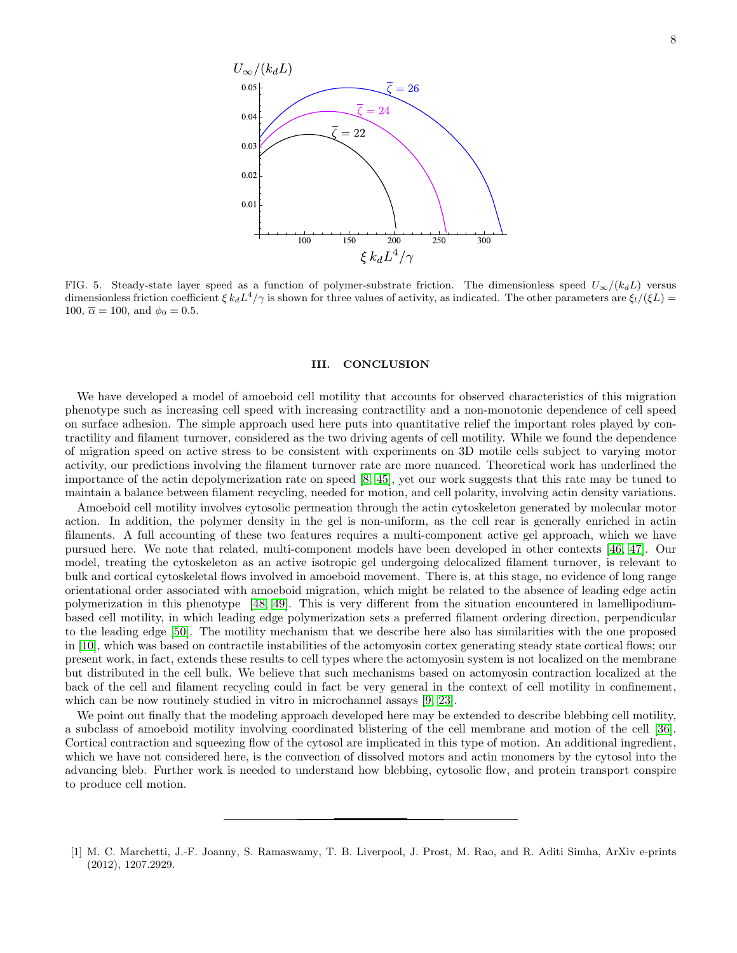

<span id="page-7-1"></span>FIG. 5. Steady-state layer speed as a function of polymer-substrate friction. The dimensionless speed  $U_{\infty}/(k_{d}L)$  versus dimensionless friction coefficient  $\xi k_d L^4/\gamma$  is shown for three values of activity, as indicated. The other parameters are  $\xi_l/(\xi L)$  = 100,  $\overline{\alpha} = 100$ , and  $\phi_0 = 0.5$ .

### III. CONCLUSION

We have developed a model of amoeboid cell motility that accounts for observed characteristics of this migration phenotype such as increasing cell speed with increasing contractility and a non-monotonic dependence of cell speed on surface adhesion. The simple approach used here puts into quantitative relief the important roles played by contractility and filament turnover, considered as the two driving agents of cell motility. While we found the dependence of migration speed on active stress to be consistent with experiments on 3D motile cells subject to varying motor activity, our predictions involving the filament turnover rate are more nuanced. Theoretical work has underlined the importance of the actin depolymerization rate on speed [\[8,](#page-8-4) [45\]](#page-9-7), yet our work suggests that this rate may be tuned to maintain a balance between filament recycling, needed for motion, and cell polarity, involving actin density variations.

Amoeboid cell motility involves cytosolic permeation through the actin cytoskeleton generated by molecular motor action. In addition, the polymer density in the gel is non-uniform, as the cell rear is generally enriched in actin filaments. A full accounting of these two features requires a multi-component active gel approach, which we have pursued here. We note that related, multi-component models have been developed in other contexts [\[46,](#page-9-8) [47\]](#page-9-9). Our model, treating the cytoskeleton as an active isotropic gel undergoing delocalized filament turnover, is relevant to bulk and cortical cytoskeletal flows involved in amoeboid movement. There is, at this stage, no evidence of long range orientational order associated with amoeboid migration, which might be related to the absence of leading edge actin polymerization in this phenotype [\[48,](#page-9-10) [49\]](#page-9-11). This is very different from the situation encountered in lamellipodiumbased cell motility, in which leading edge polymerization sets a preferred filament ordering direction, perpendicular to the leading edge [\[50\]](#page-9-12). The motility mechanism that we describe here also has similarities with the one proposed in [\[10\]](#page-8-5), which was based on contractile instabilities of the actomyosin cortex generating steady state cortical flows; our present work, in fact, extends these results to cell types where the actomyosin system is not localized on the membrane but distributed in the cell bulk. We believe that such mechanisms based on actomyosin contraction localized at the back of the cell and filament recycling could in fact be very general in the context of cell motility in confinement, which can be now routinely studied in vitro in microchannel assays [\[9,](#page-8-18) [23\]](#page-8-19).

We point out finally that the modeling approach developed here may be extended to describe blebbing cell motility, a subclass of amoeboid motility involving coordinated blistering of the cell membrane and motion of the cell [\[36\]](#page-8-31). Cortical contraction and squeezing flow of the cytosol are implicated in this type of motion. An additional ingredient, which we have not considered here, is the convection of dissolved motors and actin monomers by the cytosol into the advancing bleb. Further work is needed to understand how blebbing, cytosolic flow, and protein transport conspire to produce cell motion.

<span id="page-7-0"></span><sup>[1]</sup> M. C. Marchetti, J.-F. Joanny, S. Ramaswamy, T. B. Liverpool, J. Prost, M. Rao, and R. Aditi Simha, ArXiv e-prints (2012), 1207.2929.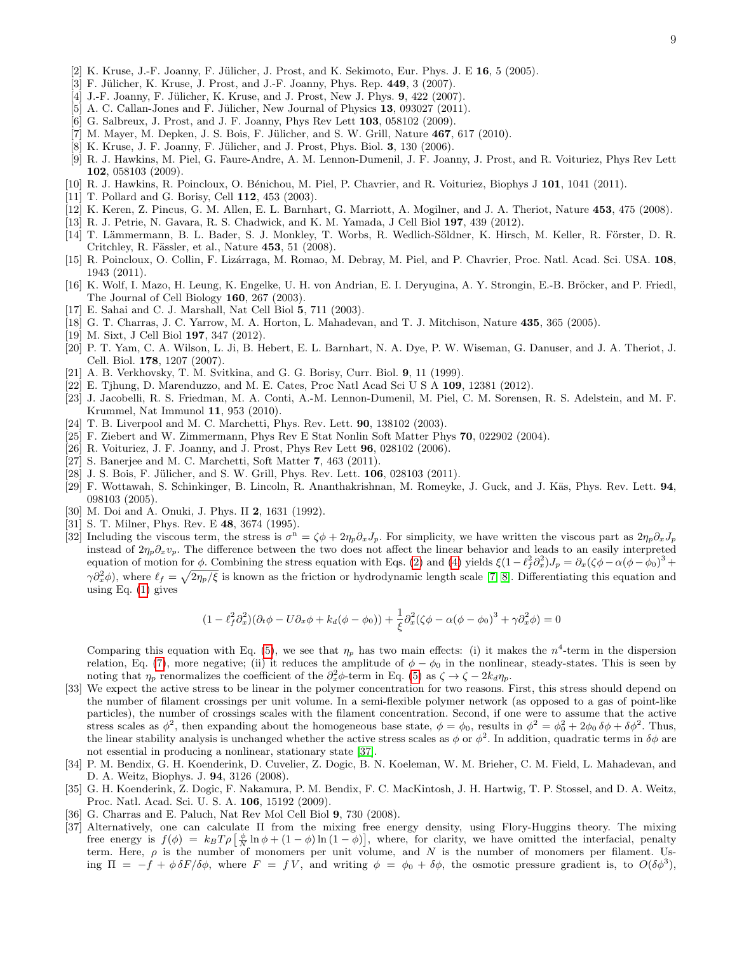- <span id="page-8-0"></span> $[2]$  K. Kruse, J.-F. Joanny, F. Jülicher, J. Prost, and K. Sekimoto, Eur. Phys. J. E 16, 5 (2005).
- [3] F. Jülicher, K. Kruse, J. Prost, and J.-F. Joanny, Phys. Rep. 449, 3 (2007).
- <span id="page-8-22"></span>[4] J.-F. Joanny, F. Jülicher, K. Kruse, and J. Prost, New J. Phys. 9, 422 (2007).
- <span id="page-8-1"></span>[5] A. C. Callan-Jones and F. Jülicher, New Journal of Physics  $13$ , 093027 (2011).
- <span id="page-8-2"></span>[6] G. Salbreux, J. Prost, and J. F. Joanny, Phys Rev Lett **103**, 058102 (2009).
- <span id="page-8-3"></span> $[7]$  M. Mayer, M. Depken, J. S. Bois, F. Jülicher, and S. W. Grill, Nature  $467, 617$  (2010).
- <span id="page-8-4"></span>[8] K. Kruse, J. F. Joanny, F. Jülicher, and J. Prost, Phys. Biol. 3, 130 (2006).
- <span id="page-8-18"></span>[9] R. J. Hawkins, M. Piel, G. Faure-Andre, A. M. Lennon-Dumenil, J. F. Joanny, J. Prost, and R. Voituriez, Phys Rev Lett 102, 058103 (2009).
- <span id="page-8-5"></span>[10] R. J. Hawkins, R. Poincloux, O. Bénichou, M. Piel, P. Chavrier, and R. Voituriez, Biophys J 101, 1041 (2011).
- <span id="page-8-6"></span>[11] T. Pollard and G. Borisy, Cell **112**, 453 (2003).
- <span id="page-8-7"></span>[12] K. Keren, Z. Pincus, G. M. Allen, E. L. Barnhart, G. Marriott, A. Mogilner, and J. A. Theriot, Nature 453, 475 (2008).
- <span id="page-8-8"></span>[13] R. J. Petrie, N. Gavara, R. S. Chadwick, and K. M. Yamada, J Cell Biol 197, 439 (2012).
- <span id="page-8-9"></span>[14] T. Lämmermann, B. L. Bader, S. J. Monkley, T. Worbs, R. Wedlich-Söldner, K. Hirsch, M. Keller, R. Förster, D. R. Critchley, R. Fässler, et al., Nature  $453$ , 51 (2008).
- <span id="page-8-10"></span>[15] R. Poincloux, O. Collin, F. Lizárraga, M. Romao, M. Debray, M. Piel, and P. Chavrier, Proc. Natl. Acad. Sci. USA. 108, 1943 (2011).
- <span id="page-8-11"></span>[16] K. Wolf, I. Mazo, H. Leung, K. Engelke, U. H. von Andrian, E. I. Deryugina, A. Y. Strongin, E.-B. Bröcker, and P. Friedl, The Journal of Cell Biology 160, 267 (2003).
- <span id="page-8-12"></span>[17] E. Sahai and C. J. Marshall, Nat Cell Biol 5, 711 (2003).
- <span id="page-8-13"></span>[18] G. T. Charras, J. C. Yarrow, M. A. Horton, L. Mahadevan, and T. J. Mitchison, Nature 435, 365 (2005).
- <span id="page-8-14"></span>[19] M. Sixt, J Cell Biol 197, 347 (2012).
- <span id="page-8-15"></span>[20] P. T. Yam, C. A. Wilson, L. Ji, B. Hebert, E. L. Barnhart, N. A. Dye, P. W. Wiseman, G. Danuser, and J. A. Theriot, J. Cell. Biol. 178, 1207 (2007).
- <span id="page-8-16"></span>[21] A. B. Verkhovsky, T. M. Svitkina, and G. G. Borisy, Curr. Biol. 9, 11 (1999).
- <span id="page-8-17"></span>[22] E. Tjhung, D. Marenduzzo, and M. E. Cates, Proc Natl Acad Sci U S A 109, 12381 (2012).
- <span id="page-8-19"></span>[23] J. Jacobelli, R. S. Friedman, M. A. Conti, A.-M. Lennon-Dumenil, M. Piel, C. M. Sorensen, R. S. Adelstein, and M. F. Krummel, Nat Immunol 11, 953 (2010).
- <span id="page-8-20"></span>[24] T. B. Liverpool and M. C. Marchetti, Phys. Rev. Lett. 90, 138102 (2003).
- [25] F. Ziebert and W. Zimmermann, Phys Rev E Stat Nonlin Soft Matter Phys 70, 022902 (2004).
- [26] R. Voituriez, J. F. Joanny, and J. Prost, Phys Rev Lett 96, 028102 (2006).
- <span id="page-8-30"></span>[27] S. Banerjee and M. C. Marchetti, Soft Matter 7, 463 (2011).
- <span id="page-8-21"></span> $[28]$  J. S. Bois, F. Jülicher, and S. W. Grill, Phys. Rev. Lett.  $106$ ,  $028103$   $(2011)$ .
- <span id="page-8-23"></span>[29] F. Wottawah, S. Schinkinger, B. Lincoln, R. Ananthakrishnan, M. Romeyke, J. Guck, and J. Käs, Phys. Rev. Lett. 94, 098103 (2005).
- <span id="page-8-24"></span>[30] M. Doi and A. Onuki, J. Phys. II **2**, 1631 (1992).
- <span id="page-8-25"></span>[31] S. T. Milner, Phys. Rev. E 48, 3674 (1995).
- <span id="page-8-26"></span>[32] Including the viscous term, the stress is  $\sigma^{n} = \zeta \phi + 2\eta_{p} \partial_{x} J_{p}$ . For simplicity, we have written the viscous part as  $2\eta_{p} \partial_{x} J_{p}$ instead of  $2\eta_p \partial_x v_p$ . The difference between the two does not affect the linear behavior and leads to an easily interpreted equation of motion for  $\phi$ . Combining the stress equation with Eqs. [\(2\)](#page-3-0) and [\(4\)](#page-3-1) yields  $\xi(1-\ell_f^2\partial_x^2)J_p = \partial_x(\zeta\phi - \alpha(\phi - \phi_0)^3 + \epsilon_1^2 J_p)J_p$  $\gamma \partial_x^2 \phi$ , where  $\ell_f = \sqrt{2\eta_p/\xi}$  is known as the friction or hydrodynamic length scale [\[7,](#page-8-3) [8\]](#page-8-4). Differentiating this equation and using Eq.  $(1)$  gives

$$
(1 - \ell_f^2 \partial_x^2)(\partial_t \phi - U \partial_x \phi + k_d(\phi - \phi_0)) + \frac{1}{\xi} \partial_x^2 (\zeta \phi - \alpha (\phi - \phi_0)^3 + \gamma \partial_x^2 \phi) = 0
$$

Comparing this equation with Eq. [\(5\)](#page-3-2), we see that  $\eta_p$  has two main effects: (i) it makes the  $n^4$ -term in the dispersion relation, Eq. [\(7\)](#page-4-1), more negative; (ii) it reduces the amplitude of  $\phi - \phi_0$  in the nonlinear, steady-states. This is seen by noting that  $\eta_p$  renormalizes the coefficient of the  $\partial_x^2 \phi$ -term in Eq. [\(5\)](#page-3-2) as  $\zeta \to \zeta - 2k_d \eta_p$ .

- <span id="page-8-27"></span>[33] We expect the active stress to be linear in the polymer concentration for two reasons. First, this stress should depend on the number of filament crossings per unit volume. In a semi-flexible polymer network (as opposed to a gas of point-like particles), the number of crossings scales with the filament concentration. Second, if one were to assume that the active stress scales as  $\phi^2$ , then expanding about the homogeneous base state,  $\phi = \phi_0$ , results in  $\phi^2 = \phi_0^2 + 2\phi_0 \delta\phi + \delta\phi^2$ . Thus, the linear stability analysis is unchanged whether the active stress scales as  $\phi$  or  $\phi^2$ . In addition, quadratic terms in  $\delta\phi$  are not essential in producing a nonlinear, stationary state [\[37\]](#page-8-32).
- <span id="page-8-28"></span>[34] P. M. Bendix, G. H. Koenderink, D. Cuvelier, Z. Dogic, B. N. Koeleman, W. M. Brieher, C. M. Field, L. Mahadevan, and D. A. Weitz, Biophys. J. 94, 3126 (2008).
- <span id="page-8-29"></span>[35] G. H. Koenderink, Z. Dogic, F. Nakamura, P. M. Bendix, F. C. MacKintosh, J. H. Hartwig, T. P. Stossel, and D. A. Weitz, Proc. Natl. Acad. Sci. U. S. A. 106, 15192 (2009).
- <span id="page-8-31"></span>[36] G. Charras and E. Paluch, Nat Rev Mol Cell Biol 9, 730 (2008).
- <span id="page-8-32"></span>[37] Alternatively, one can calculate Π from the mixing free energy density, using Flory-Huggins theory. The mixing free energy is  $f(\phi) = k_B T \rho \left[ \frac{\phi}{N} \ln \phi + (1 - \phi) \ln (1 - \phi) \right]$ , where, for clarity, we have omitted the interfacial, penalty term. Here,  $\rho$  is the number of monomers per unit volume, and N is the number of monomers per filament. Using  $\Pi = -f + \phi \delta F/\delta \phi$ , where  $F = fV$ , and writing  $\phi = \phi_0 + \delta \phi$ , the osmotic pressure gradient is, to  $O(\delta \phi^3)$ ,